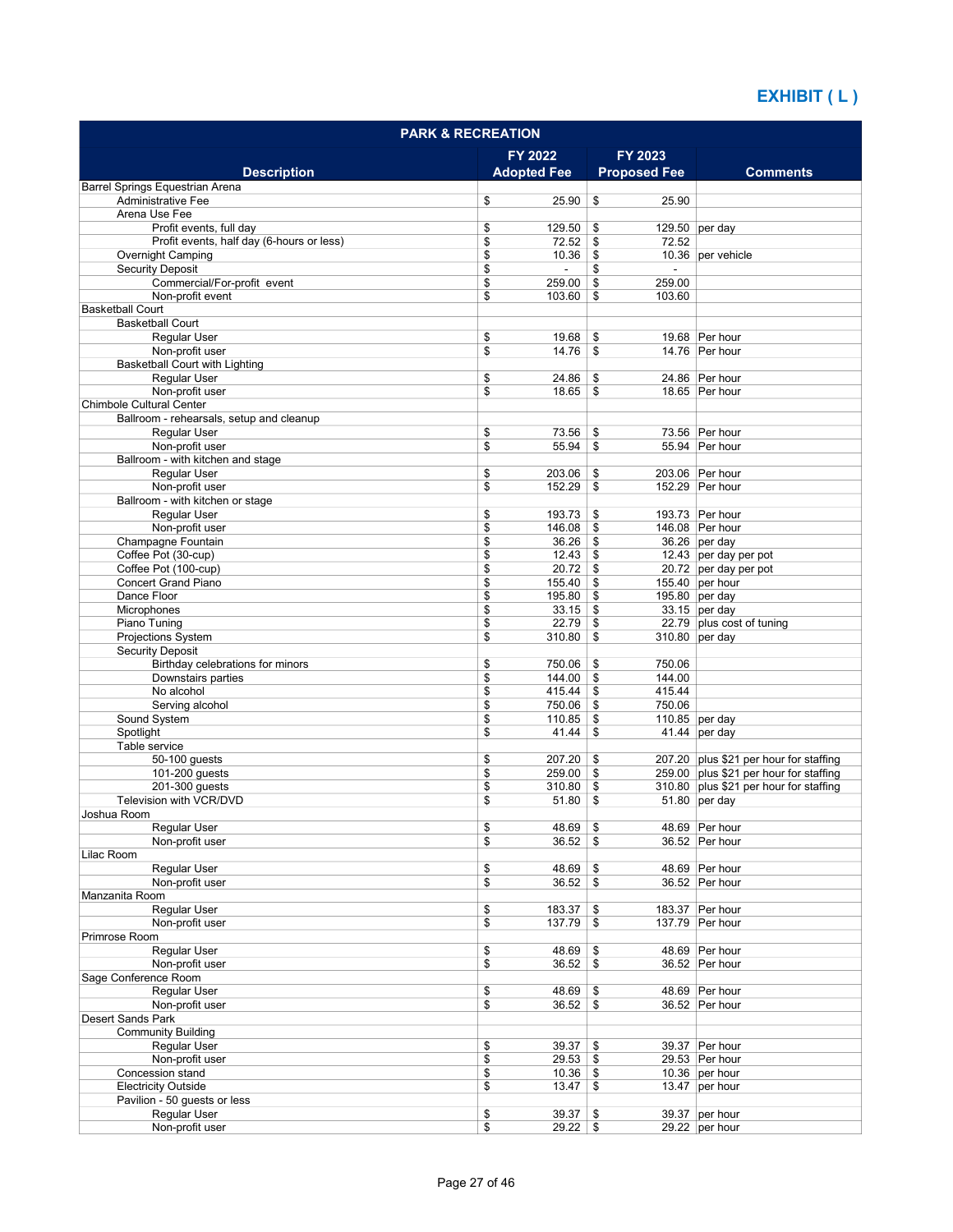| <b>PARK &amp; RECREATION</b>                           |                                  |                              |                                          |  |  |
|--------------------------------------------------------|----------------------------------|------------------------------|------------------------------------------|--|--|
|                                                        | FY 2022                          | FY 2023                      |                                          |  |  |
| <b>Description</b>                                     | <b>Adopted Fee</b>               | <b>Proposed Fee</b>          | <b>Comments</b>                          |  |  |
| Barrel Springs Equestrian Arena                        |                                  |                              |                                          |  |  |
| <b>Administrative Fee</b><br>Arena Use Fee             | \$<br>25.90                      | \$<br>25.90                  |                                          |  |  |
| Profit events, full day                                | \$<br>129.50                     | \$                           | 129.50 per day                           |  |  |
| Profit events, half day (6-hours or less)              | \$<br>72.52                      | 72.52<br>\$                  |                                          |  |  |
| <b>Overnight Camping</b>                               | \$<br>10.36                      | \$                           | 10.36 per vehicle                        |  |  |
| <b>Security Deposit</b>                                | \$                               | \$                           |                                          |  |  |
| Commercial/For-profit event                            | \$<br>259.00                     | \$<br>259.00                 |                                          |  |  |
| Non-profit event<br><b>Basketball Court</b>            | \$<br>103.60                     | \$<br>103.60                 |                                          |  |  |
| <b>Basketball Court</b>                                |                                  |                              |                                          |  |  |
| <b>Regular User</b>                                    | \$<br>19.68                      | \$                           | 19.68 Per hour                           |  |  |
| Non-profit user                                        | \$<br>14.76                      | \$                           | 14.76 Per hour                           |  |  |
| <b>Basketball Court with Lighting</b>                  |                                  |                              |                                          |  |  |
| Regular User<br>Non-profit user                        | \$<br>24.86<br>\$<br>18.65       | \$<br>\$                     | 24.86 Per hour<br>18.65 Per hour         |  |  |
| Chimbole Cultural Center                               |                                  |                              |                                          |  |  |
| Ballroom - rehearsals, setup and cleanup               |                                  |                              |                                          |  |  |
| Regular User                                           | \$<br>73.56                      | \$                           | 73.56 Per hour                           |  |  |
| Non-profit user                                        | \$<br>55.94                      | \$                           | 55.94 Per hour                           |  |  |
| Ballroom - with kitchen and stage                      |                                  |                              |                                          |  |  |
| Regular User<br>Non-profit user                        | \$<br>203.06<br>\$<br>152.29     | \$<br>\$                     | 203.06 Per hour<br>152.29 Per hour       |  |  |
| Ballroom - with kitchen or stage                       |                                  |                              |                                          |  |  |
| <b>Reqular User</b>                                    | \$<br>193.73                     | \$                           | 193.73 Per hour                          |  |  |
| Non-profit user                                        | \$<br>$146.08$ \$                |                              | 146.08 Per hour                          |  |  |
| Champagne Fountain                                     | \$<br>36.26                      | \$                           | $36.26$ per day                          |  |  |
| Coffee Pot (30-cup)                                    | \$<br>12.43                      | \$                           | 12.43 per day per pot                    |  |  |
| Coffee Pot (100-cup)<br><b>Concert Grand Piano</b>     | \$<br>$20.72$ \$<br>\$<br>155.40 | \$                           | 20.72 per day per pot<br>155.40 per hour |  |  |
| Dance Floor                                            | \$<br>195.80                     | \$                           | 195.80 per day                           |  |  |
| Microphones                                            | \$<br>33.15                      | \$                           | $33.15$ per day                          |  |  |
| Piano Tuning                                           | \$<br>22.79                      | \$                           | 22.79 plus cost of tuning                |  |  |
| <b>Projections System</b>                              | \$<br>310.80                     | \$                           | 310.80 per day                           |  |  |
| <b>Security Deposit</b>                                |                                  |                              |                                          |  |  |
| Birthday celebrations for minors<br>Downstairs parties | \$<br>750.06<br>\$<br>144.00     | \$<br>750.06<br>\$<br>144.00 |                                          |  |  |
| No alcohol                                             | \$<br>415.44                     | \$<br>415.44                 |                                          |  |  |
| Serving alcohol                                        | \$<br>750.06                     | \$<br>750.06                 |                                          |  |  |
| Sound System                                           | \$<br>110.85                     | \$                           | 110.85 per day                           |  |  |
| Spotlight                                              | \$<br>41.44                      | \$                           | 41.44 per day                            |  |  |
| Table service<br>50-100 quests                         | 207.20                           | \$                           | 207.20 plus \$21 per hour for staffing   |  |  |
| 101-200 guests                                         | \$<br>\$<br>259.00               | \$                           | 259.00 plus \$21 per hour for staffing   |  |  |
| 201-300 quests                                         | \$<br>310.80                     | \$                           | 310.80 plus \$21 per hour for staffing   |  |  |
| Television with VCR/DVD                                | \$<br>51.80                      | \$                           | $51.80$ per day                          |  |  |
| Joshua Room                                            |                                  |                              |                                          |  |  |
| Regular User                                           | \$<br>48.69                      | \$                           | 48.69 Per hour                           |  |  |
| Non-profit user<br>Lilac Room                          | \$<br>36.52                      | \$                           | 36.52 Per hour                           |  |  |
| Regular User                                           | \$<br>48.69                      | \$                           | 48.69 Per hour                           |  |  |
| Non-profit user                                        | \$<br>$36.52$ \$                 |                              | 36.52 Per hour                           |  |  |
| Manzanita Room                                         |                                  |                              |                                          |  |  |
| Regular User                                           | \$<br>183.37                     | \$                           | 183.37 Per hour                          |  |  |
| Non-profit user                                        | \$<br>137.79                     | \$                           | 137.79 Per hour                          |  |  |
| Primrose Room<br><b>Reqular User</b>                   | \$<br>48.69                      | \$                           | 48.69 Per hour                           |  |  |
| Non-profit user                                        | \$<br>$36.52$ \$                 |                              | 36.52 Per hour                           |  |  |
| Sage Conference Room                                   |                                  |                              |                                          |  |  |
| Regular User                                           | \$<br>48.69                      | \$                           | 48.69 Per hour                           |  |  |
| Non-profit user                                        | \$<br>36.52                      | \$                           | 36.52 Per hour                           |  |  |
| Desert Sands Park                                      |                                  |                              |                                          |  |  |
| <b>Community Building</b><br>Regular User              | \$<br>39.37                      | \$                           | 39.37 Per hour                           |  |  |
| Non-profit user                                        | \$<br>29.53                      | \$                           | 29.53 Per hour                           |  |  |
| Concession stand                                       | \$<br>10.36                      | \$                           | 10.36 per hour                           |  |  |
| <b>Electricity Outside</b>                             | \$<br>13.47                      | \$                           | 13.47 per hour                           |  |  |
| Pavilion - 50 guests or less                           |                                  |                              |                                          |  |  |
| Regular User<br>Non-profit user                        | 39.37<br>\$<br>\$<br>$29.22$ \$  | \$                           | 39.37 per hour<br>29.22 per hour         |  |  |
|                                                        |                                  |                              |                                          |  |  |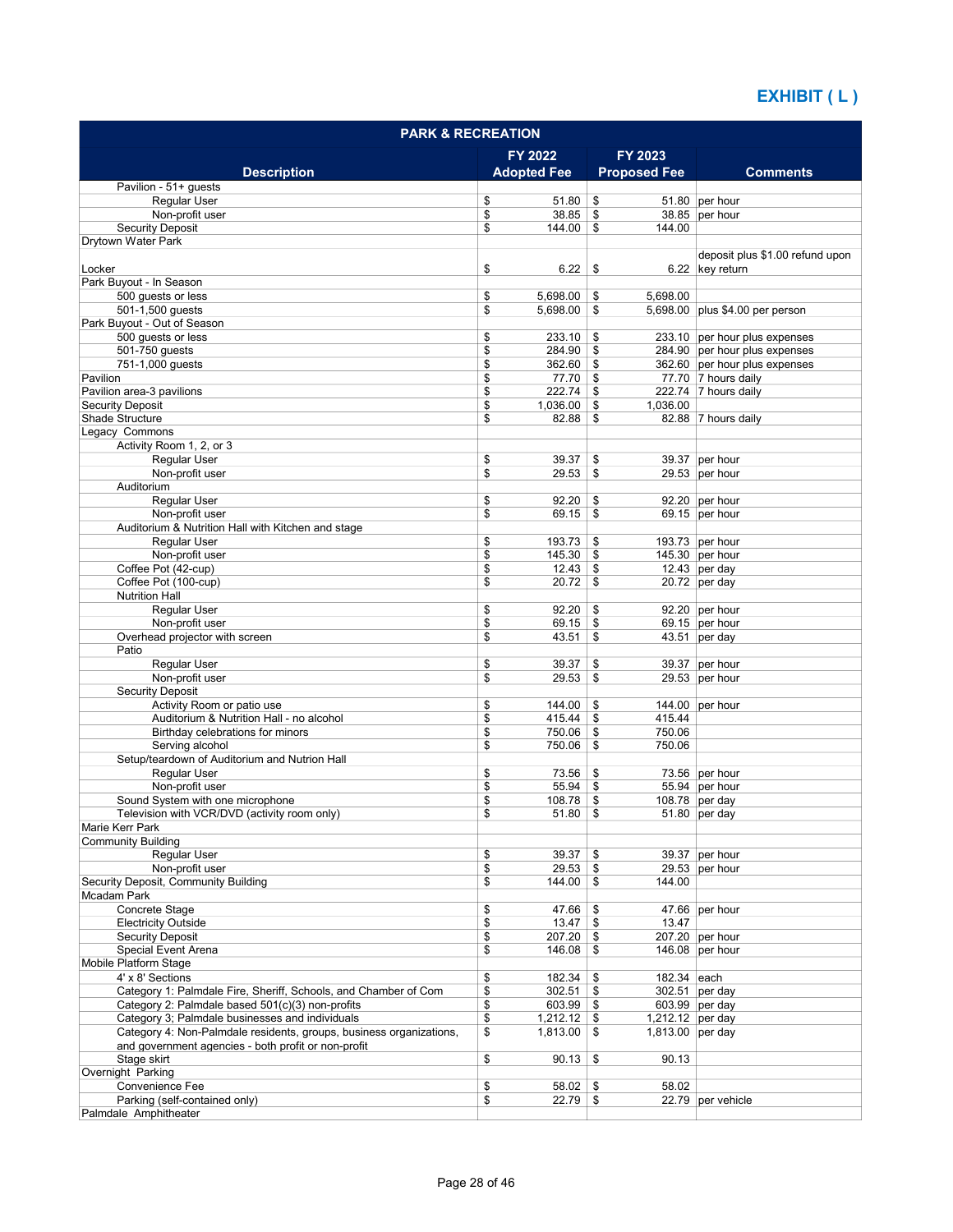| <b>PARK &amp; RECREATION</b>                                        |          |                    |          |                     |                                                    |
|---------------------------------------------------------------------|----------|--------------------|----------|---------------------|----------------------------------------------------|
|                                                                     |          | FY 2022            |          | FY 2023             |                                                    |
| <b>Description</b>                                                  |          | <b>Adopted Fee</b> |          | <b>Proposed Fee</b> | <b>Comments</b>                                    |
| Pavilion - 51+ guests                                               |          |                    |          |                     |                                                    |
| <b>Regular User</b>                                                 | \$       | 51.80              | \$       |                     | 51.80 per hour                                     |
| Non-profit user                                                     | \$       | 38.85              | \$       |                     | 38.85 per hour                                     |
| <b>Security Deposit</b>                                             | \$       | 144.00             | \$       | 144.00              |                                                    |
| Drytown Water Park                                                  |          |                    |          |                     |                                                    |
| Locker                                                              | \$       | 6.22               | \$       |                     | deposit plus \$1.00 refund upon<br>6.22 key return |
| Park Buyout - In Season                                             |          |                    |          |                     |                                                    |
| 500 quests or less                                                  | \$       | 5.698.00           | \$       | 5,698.00            |                                                    |
| 501-1,500 quests                                                    | \$       | 5,698.00           | \$       |                     | 5,698.00 plus \$4.00 per person                    |
| Park Buyout - Out of Season                                         |          |                    |          |                     |                                                    |
| 500 guests or less                                                  | \$       | 233.10             | \$       |                     | 233.10 per hour plus expenses                      |
| 501-750 guests                                                      | \$       | 284.90             | \$       |                     | 284.90 per hour plus expenses                      |
| 751-1,000 guests                                                    | \$       | 362.60             | \$       |                     | 362.60 per hour plus expenses                      |
| Pavilion                                                            | \$       | 77.70              | \$       |                     | 77.70 7 hours daily                                |
| Pavilion area-3 pavilions                                           | \$       | 222.74             | \$       |                     | 222.74 7 hours daily                               |
| <b>Security Deposit</b>                                             | \$       | 1,036.00           | \$       | 1,036.00            |                                                    |
| Shade Structure                                                     | \$       | 82.88              | \$       |                     | 82.88 7 hours daily                                |
| Legacy Commons                                                      |          |                    |          |                     |                                                    |
| Activity Room 1, 2, or 3                                            |          |                    |          |                     |                                                    |
| <b>Regular User</b>                                                 | \$       | 39.37              | \$       |                     | 39.37 per hour                                     |
| Non-profit user                                                     | \$       | 29.53              | \$       |                     | 29.53 per hour                                     |
| Auditorium                                                          |          |                    |          |                     |                                                    |
| Regular User                                                        | \$       | 92.20              | \$       |                     | 92.20 per hour                                     |
| Non-profit user                                                     | \$       | 69.15              | \$       |                     | 69.15 per hour                                     |
| Auditorium & Nutrition Hall with Kitchen and stage                  |          | 193.73             |          |                     | 193.73 per hour                                    |
| <b>Regular User</b><br>Non-profit user                              | \$<br>\$ | 145.30             | \$<br>\$ |                     | 145.30 per hour                                    |
| Coffee Pot (42-cup)                                                 | \$       | 12.43              | \$       |                     | 12.43 per day                                      |
| Coffee Pot (100-cup)                                                | \$       | 20.72              | \$       |                     | $20.72$ per day                                    |
| <b>Nutrition Hall</b>                                               |          |                    |          |                     |                                                    |
| Regular User                                                        | \$       | 92.20              | \$       |                     | 92.20 per hour                                     |
| Non-profit user                                                     | \$       | 69.15              | \$       |                     | 69.15 per hour                                     |
| Overhead projector with screen                                      | \$       | 43.51              | \$       |                     | $43.51$ per day                                    |
| Patio                                                               |          |                    |          |                     |                                                    |
| <b>Regular User</b>                                                 | \$       | 39.37              | \$       |                     | 39.37 per hour                                     |
| Non-profit user                                                     | \$       | 29.53              | \$       |                     | 29.53 per hour                                     |
| <b>Security Deposit</b>                                             |          |                    |          |                     |                                                    |
| Activity Room or patio use                                          | \$       | 144.00             | \$       |                     | 144.00 per hour                                    |
| Auditorium & Nutrition Hall - no alcohol                            | \$       | 415.44             | \$       | 415.44              |                                                    |
| Birthday celebrations for minors                                    | \$       | 750.06             | \$       | 750.06              |                                                    |
| Serving alcohol                                                     | \$       | 750.06             | \$       | 750.06              |                                                    |
| Setup/teardown of Auditorium and Nutrion Hall                       |          |                    |          |                     |                                                    |
| Regular User                                                        | \$       | 73.56              | \$       |                     | 73.56 per hour                                     |
| Non-profit user                                                     | \$       | 55.94              | \$       |                     | 55.94 per hour                                     |
| Sound System with one microphone                                    | \$<br>\$ | 108.78<br>51.80    | \$<br>\$ |                     | 108.78 per day                                     |
| Television with VCR/DVD (activity room only)<br>Marie Kerr Park     |          |                    |          |                     | $51.80$ per day                                    |
| <b>Community Building</b>                                           |          |                    |          |                     |                                                    |
| Regular User                                                        | \$       | 39.37              | \$       |                     | 39.37 per hour                                     |
| Non-profit user                                                     | \$       | 29.53              | \$       |                     | 29.53 per hour                                     |
| Security Deposit, Community Building                                | \$       | 144.00             | \$       | 144.00              |                                                    |
| Mcadam Park                                                         |          |                    |          |                     |                                                    |
| Concrete Stage                                                      | \$       | 47.66              | \$       |                     | 47.66 per hour                                     |
| <b>Electricity Outside</b>                                          | \$       | 13.47              | \$       | 13.47               |                                                    |
| <b>Security Deposit</b>                                             | \$       | 207.20             | \$       |                     | 207.20 per hour                                    |
| Special Event Arena                                                 | \$       | 146.08             | \$       |                     | 146.08 per hour                                    |
| Mobile Platform Stage                                               |          |                    |          |                     |                                                    |
| 4' x 8' Sections                                                    | \$       | 182.34             | \$       | 182.34 each         |                                                    |
| Category 1: Palmdale Fire, Sheriff, Schools, and Chamber of Com     | \$       | 302.51             | \$       |                     | 302.51 per day                                     |
| Category 2: Palmdale based 501(c)(3) non-profits                    | \$       | 603.99             | \$       |                     | 603.99 per day                                     |
| Category 3; Palmdale businesses and individuals                     | \$       | 1,212.12           | \$       | 1,212.12 per day    |                                                    |
| Category 4: Non-Palmdale residents, groups, business organizations, | \$       | 1,813.00           | \$       | 1,813.00 per day    |                                                    |
| and government agencies - both profit or non-profit                 |          |                    |          |                     |                                                    |
| Stage skirt                                                         | \$       | 90.13              | \$       | 90.13               |                                                    |
| Overnight Parking                                                   |          |                    |          |                     |                                                    |
| Convenience Fee<br>Parking (self-contained only)                    | \$<br>\$ | 58.02              | \$<br>\$ | 58.02               | 22.79 per vehicle                                  |
| Palmdale Amphitheater                                               |          | 22.79              |          |                     |                                                    |
|                                                                     |          |                    |          |                     |                                                    |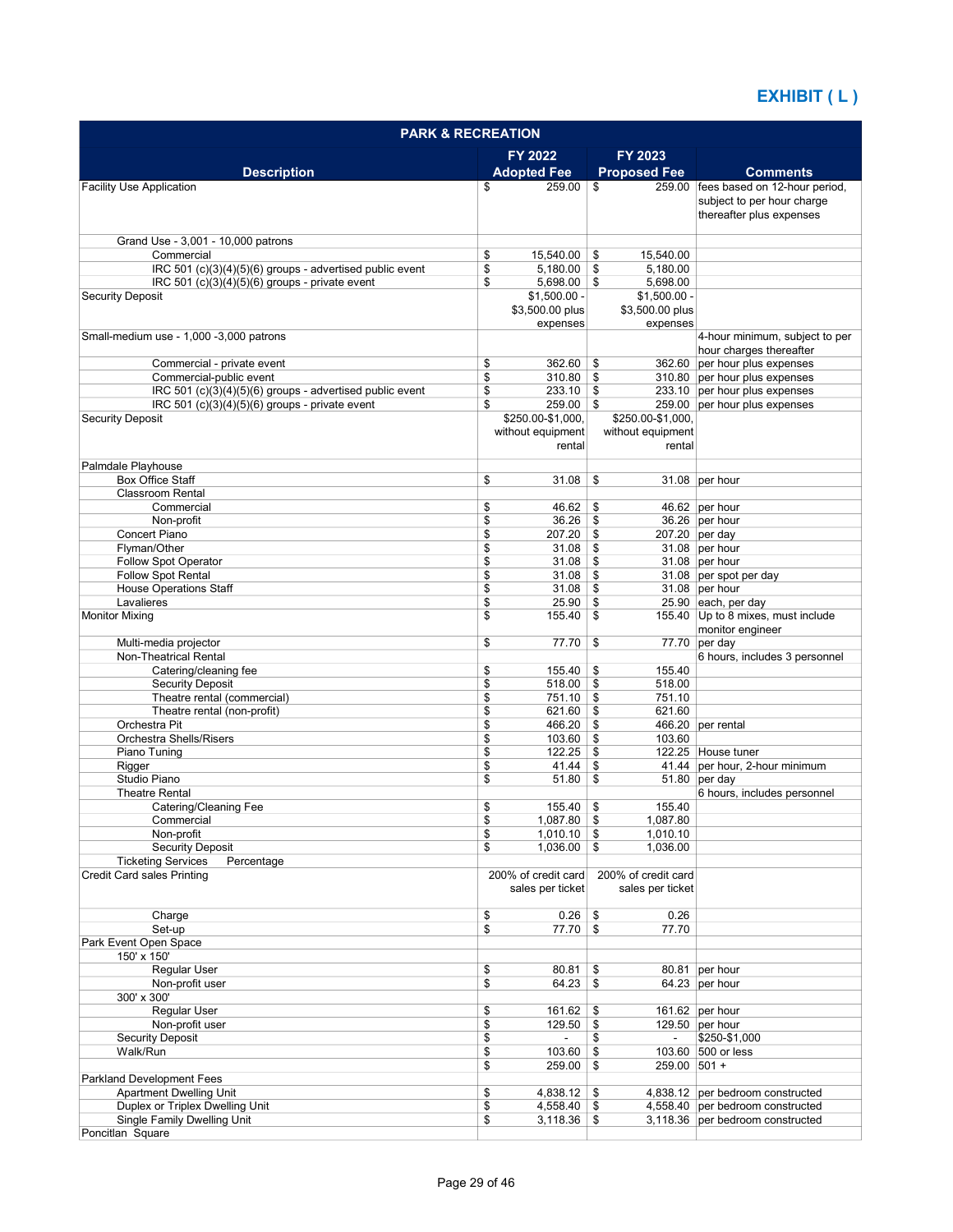| FY 2022<br><b>FY 2023</b><br><b>Description</b><br><b>Adopted Fee</b><br><b>Proposed Fee</b><br><b>Comments</b><br>259.00 fees based on 12-hour period,<br>259.00<br><b>Facility Use Application</b><br>\$<br>\$<br>subject to per hour charge<br>thereafter plus expenses<br>Grand Use - 3,001 - 10,000 patrons<br>Commercial<br>\$<br>15,540.00<br>15,540.00<br>\$<br>\$<br>IRC 501 (c)(3)(4)(5)(6) groups - advertised public event<br>$5,180.00$ \ \$<br>5,180.00<br>\$<br>IRC 501 (c)(3)(4)(5)(6) groups - private event<br>$5,698.00$ \\$<br>5,698.00<br><b>Security Deposit</b><br>$$1,500.00 -$<br>$$1,500.00 -$<br>\$3,500.00 plus<br>\$3,500.00 plus<br>expenses<br>expenses<br>Small-medium use - 1,000 -3,000 patrons<br>4-hour minimum, subject to per<br>hour charges thereafter<br>Commercial - private event<br>\$<br>362.60<br>362.60 per hour plus expenses<br>\$<br>\$<br>Commercial-public event<br>310.80<br>\$<br>310.80 per hour plus expenses<br>IRC 501 (c)(3)(4)(5)(6) groups - advertised public event<br>\$<br>233.10<br>233.10 per hour plus expenses<br>\$<br>\$<br>IRC 501 (c)(3)(4)(5)(6) groups - private event<br>259.00<br>\$<br>259.00 per hour plus expenses<br>\$250.00-\$1,000,<br>\$250.00-\$1,000,<br><b>Security Deposit</b><br>without equipment<br>without equipment<br>rental<br>rental<br>Palmdale Playhouse<br><b>Box Office Staff</b><br>\$<br>31.08<br>\$<br>31.08 per hour<br><b>Classroom Rental</b><br>\$<br>46.62<br>46.62 per hour<br>Commercial<br>\$<br>\$<br>36.26 per hour<br>Non-profit<br>36.26<br>\$<br><b>Concert Piano</b><br>\$<br>207.20<br>\$<br>207.20 per day<br>\$<br>Flyman/Other<br>31.08<br>\$<br>31.08 per hour<br>\$<br><b>Follow Spot Operator</b><br>31.08<br>\$<br>31.08 per hour<br>Follow Spot Rental<br>\$<br>31.08<br>\$<br>31.08 per spot per day<br><b>House Operations Staff</b><br>\$<br>31.08<br>\$<br>31.08 per hour<br>\$<br>Lavalieres<br>25.90<br>\$<br>25.90 each, per day<br>\$<br>155.40 Up to 8 mixes, must include<br><b>Monitor Mixing</b><br>155.40<br>\$<br>monitor engineer<br>Multi-media projector<br>\$<br>77.70<br>\$<br>77.70 per day<br>Non-Theatrical Rental<br>6 hours, includes 3 personnel<br>\$<br>Catering/cleaning fee<br>155.40<br>\$<br>155.40<br>\$<br><b>Security Deposit</b><br>518.00<br>\$<br>518.00<br>\$<br>Theatre rental (commercial)<br>751.10<br>\$<br>751.10<br>\$<br>Theatre rental (non-profit)<br>621.60<br>\$<br>621.60<br>Orchestra Pit<br>\$<br>466.20<br>\$<br>466.20 per rental<br>Orchestra Shells/Risers<br>\$<br>103.60<br>103.60<br>\$<br>\$<br>122.25 House tuner<br>Piano Tuning<br>122.25<br>\$<br>\$<br>\$<br>41.44 per hour, 2-hour minimum<br>Rigger<br>41.44<br>Studio Piano<br>\$<br>51.80<br>\$<br>$51.80$ per day<br>6 hours, includes personnel<br><b>Theatre Rental</b><br>Catering/Cleaning Fee<br>\$<br>155.40<br>\$<br>155.40<br>1,087.80<br>\$<br>1,087.80 \$<br>Commercial<br>\$<br>Non-profit<br>$1,010.10$ \$<br>1,010.10<br><b>Security Deposit</b><br>$1,036.00$ \$<br>1,036.00<br>\$<br><b>Ticketing Services</b><br>Percentage<br><b>Credit Card sales Printing</b><br>200% of credit card<br>200% of credit card<br>sales per ticket<br>sales per ticket<br>\$<br>0.26<br>Charge<br>$0.26$ \$<br>\$<br>77.70 \$<br>77.70<br>Set-up<br>Park Event Open Space<br>150' x 150'<br>Regular User<br>\$<br>80.81<br>80.81 per hour<br>\$<br>Non-profit user<br>\$<br>64.23<br>\$<br>64.23 per hour<br>300' x 300'<br>\$<br>Regular User<br>161.62 per hour<br>161.62<br>\$<br>\$<br>Non-profit user<br>129.50<br>\$<br>129.50 per hour<br>\$<br><b>Security Deposit</b><br>\$<br>\$250-\$1,000<br>Walk/Run<br>\$<br>103.60<br>\$<br>103.60 500 or less<br>\$<br>259.00<br>259.00 501 +<br>\$<br><b>Parkland Development Fees</b><br><b>Apartment Dwelling Unit</b><br>\$<br>4,838.12<br>\$<br>4,838.12 per bedroom constructed<br>Duplex or Triplex Dwelling Unit<br>\$<br>4,558.40<br>\$<br>4,558.40 per bedroom constructed<br>\$<br>Single Family Dwelling Unit<br>3,118.36<br>\$<br>3,118.36 per bedroom constructed | <b>PARK &amp; RECREATION</b> |  |  |  |  |  |  |
|-------------------------------------------------------------------------------------------------------------------------------------------------------------------------------------------------------------------------------------------------------------------------------------------------------------------------------------------------------------------------------------------------------------------------------------------------------------------------------------------------------------------------------------------------------------------------------------------------------------------------------------------------------------------------------------------------------------------------------------------------------------------------------------------------------------------------------------------------------------------------------------------------------------------------------------------------------------------------------------------------------------------------------------------------------------------------------------------------------------------------------------------------------------------------------------------------------------------------------------------------------------------------------------------------------------------------------------------------------------------------------------------------------------------------------------------------------------------------------------------------------------------------------------------------------------------------------------------------------------------------------------------------------------------------------------------------------------------------------------------------------------------------------------------------------------------------------------------------------------------------------------------------------------------------------------------------------------------------------------------------------------------------------------------------------------------------------------------------------------------------------------------------------------------------------------------------------------------------------------------------------------------------------------------------------------------------------------------------------------------------------------------------------------------------------------------------------------------------------------------------------------------------------------------------------------------------------------------------------------------------------------------------------------------------------------------------------------------------------------------------------------------------------------------------------------------------------------------------------------------------------------------------------------------------------------------------------------------------------------------------------------------------------------------------------------------------------------------------------------------------------------------------------------------------------------------------------------------------------------------------------------------------------------------------------------------------------------------------------------------------------------------------------------------------------------------------------------------------------------------------------------------------------------------------------------------------------------------------------------------------------------------------------------------------------------------------------------------------------------------------------------------------------------------------------------------------------------------------------------------------------------------------------------------------------------------------------------------------------------------------------------------------------------------------------------------------------------|------------------------------|--|--|--|--|--|--|
|                                                                                                                                                                                                                                                                                                                                                                                                                                                                                                                                                                                                                                                                                                                                                                                                                                                                                                                                                                                                                                                                                                                                                                                                                                                                                                                                                                                                                                                                                                                                                                                                                                                                                                                                                                                                                                                                                                                                                                                                                                                                                                                                                                                                                                                                                                                                                                                                                                                                                                                                                                                                                                                                                                                                                                                                                                                                                                                                                                                                                                                                                                                                                                                                                                                                                                                                                                                                                                                                                                                                                                                                                                                                                                                                                                                                                                                                                                                                                                                                                                                                                     |                              |  |  |  |  |  |  |
|                                                                                                                                                                                                                                                                                                                                                                                                                                                                                                                                                                                                                                                                                                                                                                                                                                                                                                                                                                                                                                                                                                                                                                                                                                                                                                                                                                                                                                                                                                                                                                                                                                                                                                                                                                                                                                                                                                                                                                                                                                                                                                                                                                                                                                                                                                                                                                                                                                                                                                                                                                                                                                                                                                                                                                                                                                                                                                                                                                                                                                                                                                                                                                                                                                                                                                                                                                                                                                                                                                                                                                                                                                                                                                                                                                                                                                                                                                                                                                                                                                                                                     |                              |  |  |  |  |  |  |
|                                                                                                                                                                                                                                                                                                                                                                                                                                                                                                                                                                                                                                                                                                                                                                                                                                                                                                                                                                                                                                                                                                                                                                                                                                                                                                                                                                                                                                                                                                                                                                                                                                                                                                                                                                                                                                                                                                                                                                                                                                                                                                                                                                                                                                                                                                                                                                                                                                                                                                                                                                                                                                                                                                                                                                                                                                                                                                                                                                                                                                                                                                                                                                                                                                                                                                                                                                                                                                                                                                                                                                                                                                                                                                                                                                                                                                                                                                                                                                                                                                                                                     |                              |  |  |  |  |  |  |
|                                                                                                                                                                                                                                                                                                                                                                                                                                                                                                                                                                                                                                                                                                                                                                                                                                                                                                                                                                                                                                                                                                                                                                                                                                                                                                                                                                                                                                                                                                                                                                                                                                                                                                                                                                                                                                                                                                                                                                                                                                                                                                                                                                                                                                                                                                                                                                                                                                                                                                                                                                                                                                                                                                                                                                                                                                                                                                                                                                                                                                                                                                                                                                                                                                                                                                                                                                                                                                                                                                                                                                                                                                                                                                                                                                                                                                                                                                                                                                                                                                                                                     |                              |  |  |  |  |  |  |
|                                                                                                                                                                                                                                                                                                                                                                                                                                                                                                                                                                                                                                                                                                                                                                                                                                                                                                                                                                                                                                                                                                                                                                                                                                                                                                                                                                                                                                                                                                                                                                                                                                                                                                                                                                                                                                                                                                                                                                                                                                                                                                                                                                                                                                                                                                                                                                                                                                                                                                                                                                                                                                                                                                                                                                                                                                                                                                                                                                                                                                                                                                                                                                                                                                                                                                                                                                                                                                                                                                                                                                                                                                                                                                                                                                                                                                                                                                                                                                                                                                                                                     |                              |  |  |  |  |  |  |
|                                                                                                                                                                                                                                                                                                                                                                                                                                                                                                                                                                                                                                                                                                                                                                                                                                                                                                                                                                                                                                                                                                                                                                                                                                                                                                                                                                                                                                                                                                                                                                                                                                                                                                                                                                                                                                                                                                                                                                                                                                                                                                                                                                                                                                                                                                                                                                                                                                                                                                                                                                                                                                                                                                                                                                                                                                                                                                                                                                                                                                                                                                                                                                                                                                                                                                                                                                                                                                                                                                                                                                                                                                                                                                                                                                                                                                                                                                                                                                                                                                                                                     |                              |  |  |  |  |  |  |
|                                                                                                                                                                                                                                                                                                                                                                                                                                                                                                                                                                                                                                                                                                                                                                                                                                                                                                                                                                                                                                                                                                                                                                                                                                                                                                                                                                                                                                                                                                                                                                                                                                                                                                                                                                                                                                                                                                                                                                                                                                                                                                                                                                                                                                                                                                                                                                                                                                                                                                                                                                                                                                                                                                                                                                                                                                                                                                                                                                                                                                                                                                                                                                                                                                                                                                                                                                                                                                                                                                                                                                                                                                                                                                                                                                                                                                                                                                                                                                                                                                                                                     |                              |  |  |  |  |  |  |
|                                                                                                                                                                                                                                                                                                                                                                                                                                                                                                                                                                                                                                                                                                                                                                                                                                                                                                                                                                                                                                                                                                                                                                                                                                                                                                                                                                                                                                                                                                                                                                                                                                                                                                                                                                                                                                                                                                                                                                                                                                                                                                                                                                                                                                                                                                                                                                                                                                                                                                                                                                                                                                                                                                                                                                                                                                                                                                                                                                                                                                                                                                                                                                                                                                                                                                                                                                                                                                                                                                                                                                                                                                                                                                                                                                                                                                                                                                                                                                                                                                                                                     |                              |  |  |  |  |  |  |
|                                                                                                                                                                                                                                                                                                                                                                                                                                                                                                                                                                                                                                                                                                                                                                                                                                                                                                                                                                                                                                                                                                                                                                                                                                                                                                                                                                                                                                                                                                                                                                                                                                                                                                                                                                                                                                                                                                                                                                                                                                                                                                                                                                                                                                                                                                                                                                                                                                                                                                                                                                                                                                                                                                                                                                                                                                                                                                                                                                                                                                                                                                                                                                                                                                                                                                                                                                                                                                                                                                                                                                                                                                                                                                                                                                                                                                                                                                                                                                                                                                                                                     |                              |  |  |  |  |  |  |
|                                                                                                                                                                                                                                                                                                                                                                                                                                                                                                                                                                                                                                                                                                                                                                                                                                                                                                                                                                                                                                                                                                                                                                                                                                                                                                                                                                                                                                                                                                                                                                                                                                                                                                                                                                                                                                                                                                                                                                                                                                                                                                                                                                                                                                                                                                                                                                                                                                                                                                                                                                                                                                                                                                                                                                                                                                                                                                                                                                                                                                                                                                                                                                                                                                                                                                                                                                                                                                                                                                                                                                                                                                                                                                                                                                                                                                                                                                                                                                                                                                                                                     |                              |  |  |  |  |  |  |
|                                                                                                                                                                                                                                                                                                                                                                                                                                                                                                                                                                                                                                                                                                                                                                                                                                                                                                                                                                                                                                                                                                                                                                                                                                                                                                                                                                                                                                                                                                                                                                                                                                                                                                                                                                                                                                                                                                                                                                                                                                                                                                                                                                                                                                                                                                                                                                                                                                                                                                                                                                                                                                                                                                                                                                                                                                                                                                                                                                                                                                                                                                                                                                                                                                                                                                                                                                                                                                                                                                                                                                                                                                                                                                                                                                                                                                                                                                                                                                                                                                                                                     |                              |  |  |  |  |  |  |
|                                                                                                                                                                                                                                                                                                                                                                                                                                                                                                                                                                                                                                                                                                                                                                                                                                                                                                                                                                                                                                                                                                                                                                                                                                                                                                                                                                                                                                                                                                                                                                                                                                                                                                                                                                                                                                                                                                                                                                                                                                                                                                                                                                                                                                                                                                                                                                                                                                                                                                                                                                                                                                                                                                                                                                                                                                                                                                                                                                                                                                                                                                                                                                                                                                                                                                                                                                                                                                                                                                                                                                                                                                                                                                                                                                                                                                                                                                                                                                                                                                                                                     |                              |  |  |  |  |  |  |
|                                                                                                                                                                                                                                                                                                                                                                                                                                                                                                                                                                                                                                                                                                                                                                                                                                                                                                                                                                                                                                                                                                                                                                                                                                                                                                                                                                                                                                                                                                                                                                                                                                                                                                                                                                                                                                                                                                                                                                                                                                                                                                                                                                                                                                                                                                                                                                                                                                                                                                                                                                                                                                                                                                                                                                                                                                                                                                                                                                                                                                                                                                                                                                                                                                                                                                                                                                                                                                                                                                                                                                                                                                                                                                                                                                                                                                                                                                                                                                                                                                                                                     |                              |  |  |  |  |  |  |
|                                                                                                                                                                                                                                                                                                                                                                                                                                                                                                                                                                                                                                                                                                                                                                                                                                                                                                                                                                                                                                                                                                                                                                                                                                                                                                                                                                                                                                                                                                                                                                                                                                                                                                                                                                                                                                                                                                                                                                                                                                                                                                                                                                                                                                                                                                                                                                                                                                                                                                                                                                                                                                                                                                                                                                                                                                                                                                                                                                                                                                                                                                                                                                                                                                                                                                                                                                                                                                                                                                                                                                                                                                                                                                                                                                                                                                                                                                                                                                                                                                                                                     |                              |  |  |  |  |  |  |
|                                                                                                                                                                                                                                                                                                                                                                                                                                                                                                                                                                                                                                                                                                                                                                                                                                                                                                                                                                                                                                                                                                                                                                                                                                                                                                                                                                                                                                                                                                                                                                                                                                                                                                                                                                                                                                                                                                                                                                                                                                                                                                                                                                                                                                                                                                                                                                                                                                                                                                                                                                                                                                                                                                                                                                                                                                                                                                                                                                                                                                                                                                                                                                                                                                                                                                                                                                                                                                                                                                                                                                                                                                                                                                                                                                                                                                                                                                                                                                                                                                                                                     |                              |  |  |  |  |  |  |
|                                                                                                                                                                                                                                                                                                                                                                                                                                                                                                                                                                                                                                                                                                                                                                                                                                                                                                                                                                                                                                                                                                                                                                                                                                                                                                                                                                                                                                                                                                                                                                                                                                                                                                                                                                                                                                                                                                                                                                                                                                                                                                                                                                                                                                                                                                                                                                                                                                                                                                                                                                                                                                                                                                                                                                                                                                                                                                                                                                                                                                                                                                                                                                                                                                                                                                                                                                                                                                                                                                                                                                                                                                                                                                                                                                                                                                                                                                                                                                                                                                                                                     |                              |  |  |  |  |  |  |
|                                                                                                                                                                                                                                                                                                                                                                                                                                                                                                                                                                                                                                                                                                                                                                                                                                                                                                                                                                                                                                                                                                                                                                                                                                                                                                                                                                                                                                                                                                                                                                                                                                                                                                                                                                                                                                                                                                                                                                                                                                                                                                                                                                                                                                                                                                                                                                                                                                                                                                                                                                                                                                                                                                                                                                                                                                                                                                                                                                                                                                                                                                                                                                                                                                                                                                                                                                                                                                                                                                                                                                                                                                                                                                                                                                                                                                                                                                                                                                                                                                                                                     |                              |  |  |  |  |  |  |
|                                                                                                                                                                                                                                                                                                                                                                                                                                                                                                                                                                                                                                                                                                                                                                                                                                                                                                                                                                                                                                                                                                                                                                                                                                                                                                                                                                                                                                                                                                                                                                                                                                                                                                                                                                                                                                                                                                                                                                                                                                                                                                                                                                                                                                                                                                                                                                                                                                                                                                                                                                                                                                                                                                                                                                                                                                                                                                                                                                                                                                                                                                                                                                                                                                                                                                                                                                                                                                                                                                                                                                                                                                                                                                                                                                                                                                                                                                                                                                                                                                                                                     |                              |  |  |  |  |  |  |
|                                                                                                                                                                                                                                                                                                                                                                                                                                                                                                                                                                                                                                                                                                                                                                                                                                                                                                                                                                                                                                                                                                                                                                                                                                                                                                                                                                                                                                                                                                                                                                                                                                                                                                                                                                                                                                                                                                                                                                                                                                                                                                                                                                                                                                                                                                                                                                                                                                                                                                                                                                                                                                                                                                                                                                                                                                                                                                                                                                                                                                                                                                                                                                                                                                                                                                                                                                                                                                                                                                                                                                                                                                                                                                                                                                                                                                                                                                                                                                                                                                                                                     |                              |  |  |  |  |  |  |
|                                                                                                                                                                                                                                                                                                                                                                                                                                                                                                                                                                                                                                                                                                                                                                                                                                                                                                                                                                                                                                                                                                                                                                                                                                                                                                                                                                                                                                                                                                                                                                                                                                                                                                                                                                                                                                                                                                                                                                                                                                                                                                                                                                                                                                                                                                                                                                                                                                                                                                                                                                                                                                                                                                                                                                                                                                                                                                                                                                                                                                                                                                                                                                                                                                                                                                                                                                                                                                                                                                                                                                                                                                                                                                                                                                                                                                                                                                                                                                                                                                                                                     |                              |  |  |  |  |  |  |
|                                                                                                                                                                                                                                                                                                                                                                                                                                                                                                                                                                                                                                                                                                                                                                                                                                                                                                                                                                                                                                                                                                                                                                                                                                                                                                                                                                                                                                                                                                                                                                                                                                                                                                                                                                                                                                                                                                                                                                                                                                                                                                                                                                                                                                                                                                                                                                                                                                                                                                                                                                                                                                                                                                                                                                                                                                                                                                                                                                                                                                                                                                                                                                                                                                                                                                                                                                                                                                                                                                                                                                                                                                                                                                                                                                                                                                                                                                                                                                                                                                                                                     |                              |  |  |  |  |  |  |
|                                                                                                                                                                                                                                                                                                                                                                                                                                                                                                                                                                                                                                                                                                                                                                                                                                                                                                                                                                                                                                                                                                                                                                                                                                                                                                                                                                                                                                                                                                                                                                                                                                                                                                                                                                                                                                                                                                                                                                                                                                                                                                                                                                                                                                                                                                                                                                                                                                                                                                                                                                                                                                                                                                                                                                                                                                                                                                                                                                                                                                                                                                                                                                                                                                                                                                                                                                                                                                                                                                                                                                                                                                                                                                                                                                                                                                                                                                                                                                                                                                                                                     |                              |  |  |  |  |  |  |
|                                                                                                                                                                                                                                                                                                                                                                                                                                                                                                                                                                                                                                                                                                                                                                                                                                                                                                                                                                                                                                                                                                                                                                                                                                                                                                                                                                                                                                                                                                                                                                                                                                                                                                                                                                                                                                                                                                                                                                                                                                                                                                                                                                                                                                                                                                                                                                                                                                                                                                                                                                                                                                                                                                                                                                                                                                                                                                                                                                                                                                                                                                                                                                                                                                                                                                                                                                                                                                                                                                                                                                                                                                                                                                                                                                                                                                                                                                                                                                                                                                                                                     |                              |  |  |  |  |  |  |
|                                                                                                                                                                                                                                                                                                                                                                                                                                                                                                                                                                                                                                                                                                                                                                                                                                                                                                                                                                                                                                                                                                                                                                                                                                                                                                                                                                                                                                                                                                                                                                                                                                                                                                                                                                                                                                                                                                                                                                                                                                                                                                                                                                                                                                                                                                                                                                                                                                                                                                                                                                                                                                                                                                                                                                                                                                                                                                                                                                                                                                                                                                                                                                                                                                                                                                                                                                                                                                                                                                                                                                                                                                                                                                                                                                                                                                                                                                                                                                                                                                                                                     |                              |  |  |  |  |  |  |
|                                                                                                                                                                                                                                                                                                                                                                                                                                                                                                                                                                                                                                                                                                                                                                                                                                                                                                                                                                                                                                                                                                                                                                                                                                                                                                                                                                                                                                                                                                                                                                                                                                                                                                                                                                                                                                                                                                                                                                                                                                                                                                                                                                                                                                                                                                                                                                                                                                                                                                                                                                                                                                                                                                                                                                                                                                                                                                                                                                                                                                                                                                                                                                                                                                                                                                                                                                                                                                                                                                                                                                                                                                                                                                                                                                                                                                                                                                                                                                                                                                                                                     |                              |  |  |  |  |  |  |
|                                                                                                                                                                                                                                                                                                                                                                                                                                                                                                                                                                                                                                                                                                                                                                                                                                                                                                                                                                                                                                                                                                                                                                                                                                                                                                                                                                                                                                                                                                                                                                                                                                                                                                                                                                                                                                                                                                                                                                                                                                                                                                                                                                                                                                                                                                                                                                                                                                                                                                                                                                                                                                                                                                                                                                                                                                                                                                                                                                                                                                                                                                                                                                                                                                                                                                                                                                                                                                                                                                                                                                                                                                                                                                                                                                                                                                                                                                                                                                                                                                                                                     |                              |  |  |  |  |  |  |
|                                                                                                                                                                                                                                                                                                                                                                                                                                                                                                                                                                                                                                                                                                                                                                                                                                                                                                                                                                                                                                                                                                                                                                                                                                                                                                                                                                                                                                                                                                                                                                                                                                                                                                                                                                                                                                                                                                                                                                                                                                                                                                                                                                                                                                                                                                                                                                                                                                                                                                                                                                                                                                                                                                                                                                                                                                                                                                                                                                                                                                                                                                                                                                                                                                                                                                                                                                                                                                                                                                                                                                                                                                                                                                                                                                                                                                                                                                                                                                                                                                                                                     |                              |  |  |  |  |  |  |
|                                                                                                                                                                                                                                                                                                                                                                                                                                                                                                                                                                                                                                                                                                                                                                                                                                                                                                                                                                                                                                                                                                                                                                                                                                                                                                                                                                                                                                                                                                                                                                                                                                                                                                                                                                                                                                                                                                                                                                                                                                                                                                                                                                                                                                                                                                                                                                                                                                                                                                                                                                                                                                                                                                                                                                                                                                                                                                                                                                                                                                                                                                                                                                                                                                                                                                                                                                                                                                                                                                                                                                                                                                                                                                                                                                                                                                                                                                                                                                                                                                                                                     |                              |  |  |  |  |  |  |
|                                                                                                                                                                                                                                                                                                                                                                                                                                                                                                                                                                                                                                                                                                                                                                                                                                                                                                                                                                                                                                                                                                                                                                                                                                                                                                                                                                                                                                                                                                                                                                                                                                                                                                                                                                                                                                                                                                                                                                                                                                                                                                                                                                                                                                                                                                                                                                                                                                                                                                                                                                                                                                                                                                                                                                                                                                                                                                                                                                                                                                                                                                                                                                                                                                                                                                                                                                                                                                                                                                                                                                                                                                                                                                                                                                                                                                                                                                                                                                                                                                                                                     |                              |  |  |  |  |  |  |
|                                                                                                                                                                                                                                                                                                                                                                                                                                                                                                                                                                                                                                                                                                                                                                                                                                                                                                                                                                                                                                                                                                                                                                                                                                                                                                                                                                                                                                                                                                                                                                                                                                                                                                                                                                                                                                                                                                                                                                                                                                                                                                                                                                                                                                                                                                                                                                                                                                                                                                                                                                                                                                                                                                                                                                                                                                                                                                                                                                                                                                                                                                                                                                                                                                                                                                                                                                                                                                                                                                                                                                                                                                                                                                                                                                                                                                                                                                                                                                                                                                                                                     |                              |  |  |  |  |  |  |
|                                                                                                                                                                                                                                                                                                                                                                                                                                                                                                                                                                                                                                                                                                                                                                                                                                                                                                                                                                                                                                                                                                                                                                                                                                                                                                                                                                                                                                                                                                                                                                                                                                                                                                                                                                                                                                                                                                                                                                                                                                                                                                                                                                                                                                                                                                                                                                                                                                                                                                                                                                                                                                                                                                                                                                                                                                                                                                                                                                                                                                                                                                                                                                                                                                                                                                                                                                                                                                                                                                                                                                                                                                                                                                                                                                                                                                                                                                                                                                                                                                                                                     |                              |  |  |  |  |  |  |
|                                                                                                                                                                                                                                                                                                                                                                                                                                                                                                                                                                                                                                                                                                                                                                                                                                                                                                                                                                                                                                                                                                                                                                                                                                                                                                                                                                                                                                                                                                                                                                                                                                                                                                                                                                                                                                                                                                                                                                                                                                                                                                                                                                                                                                                                                                                                                                                                                                                                                                                                                                                                                                                                                                                                                                                                                                                                                                                                                                                                                                                                                                                                                                                                                                                                                                                                                                                                                                                                                                                                                                                                                                                                                                                                                                                                                                                                                                                                                                                                                                                                                     |                              |  |  |  |  |  |  |
|                                                                                                                                                                                                                                                                                                                                                                                                                                                                                                                                                                                                                                                                                                                                                                                                                                                                                                                                                                                                                                                                                                                                                                                                                                                                                                                                                                                                                                                                                                                                                                                                                                                                                                                                                                                                                                                                                                                                                                                                                                                                                                                                                                                                                                                                                                                                                                                                                                                                                                                                                                                                                                                                                                                                                                                                                                                                                                                                                                                                                                                                                                                                                                                                                                                                                                                                                                                                                                                                                                                                                                                                                                                                                                                                                                                                                                                                                                                                                                                                                                                                                     |                              |  |  |  |  |  |  |
|                                                                                                                                                                                                                                                                                                                                                                                                                                                                                                                                                                                                                                                                                                                                                                                                                                                                                                                                                                                                                                                                                                                                                                                                                                                                                                                                                                                                                                                                                                                                                                                                                                                                                                                                                                                                                                                                                                                                                                                                                                                                                                                                                                                                                                                                                                                                                                                                                                                                                                                                                                                                                                                                                                                                                                                                                                                                                                                                                                                                                                                                                                                                                                                                                                                                                                                                                                                                                                                                                                                                                                                                                                                                                                                                                                                                                                                                                                                                                                                                                                                                                     |                              |  |  |  |  |  |  |
|                                                                                                                                                                                                                                                                                                                                                                                                                                                                                                                                                                                                                                                                                                                                                                                                                                                                                                                                                                                                                                                                                                                                                                                                                                                                                                                                                                                                                                                                                                                                                                                                                                                                                                                                                                                                                                                                                                                                                                                                                                                                                                                                                                                                                                                                                                                                                                                                                                                                                                                                                                                                                                                                                                                                                                                                                                                                                                                                                                                                                                                                                                                                                                                                                                                                                                                                                                                                                                                                                                                                                                                                                                                                                                                                                                                                                                                                                                                                                                                                                                                                                     |                              |  |  |  |  |  |  |
|                                                                                                                                                                                                                                                                                                                                                                                                                                                                                                                                                                                                                                                                                                                                                                                                                                                                                                                                                                                                                                                                                                                                                                                                                                                                                                                                                                                                                                                                                                                                                                                                                                                                                                                                                                                                                                                                                                                                                                                                                                                                                                                                                                                                                                                                                                                                                                                                                                                                                                                                                                                                                                                                                                                                                                                                                                                                                                                                                                                                                                                                                                                                                                                                                                                                                                                                                                                                                                                                                                                                                                                                                                                                                                                                                                                                                                                                                                                                                                                                                                                                                     |                              |  |  |  |  |  |  |
|                                                                                                                                                                                                                                                                                                                                                                                                                                                                                                                                                                                                                                                                                                                                                                                                                                                                                                                                                                                                                                                                                                                                                                                                                                                                                                                                                                                                                                                                                                                                                                                                                                                                                                                                                                                                                                                                                                                                                                                                                                                                                                                                                                                                                                                                                                                                                                                                                                                                                                                                                                                                                                                                                                                                                                                                                                                                                                                                                                                                                                                                                                                                                                                                                                                                                                                                                                                                                                                                                                                                                                                                                                                                                                                                                                                                                                                                                                                                                                                                                                                                                     |                              |  |  |  |  |  |  |
|                                                                                                                                                                                                                                                                                                                                                                                                                                                                                                                                                                                                                                                                                                                                                                                                                                                                                                                                                                                                                                                                                                                                                                                                                                                                                                                                                                                                                                                                                                                                                                                                                                                                                                                                                                                                                                                                                                                                                                                                                                                                                                                                                                                                                                                                                                                                                                                                                                                                                                                                                                                                                                                                                                                                                                                                                                                                                                                                                                                                                                                                                                                                                                                                                                                                                                                                                                                                                                                                                                                                                                                                                                                                                                                                                                                                                                                                                                                                                                                                                                                                                     |                              |  |  |  |  |  |  |
|                                                                                                                                                                                                                                                                                                                                                                                                                                                                                                                                                                                                                                                                                                                                                                                                                                                                                                                                                                                                                                                                                                                                                                                                                                                                                                                                                                                                                                                                                                                                                                                                                                                                                                                                                                                                                                                                                                                                                                                                                                                                                                                                                                                                                                                                                                                                                                                                                                                                                                                                                                                                                                                                                                                                                                                                                                                                                                                                                                                                                                                                                                                                                                                                                                                                                                                                                                                                                                                                                                                                                                                                                                                                                                                                                                                                                                                                                                                                                                                                                                                                                     |                              |  |  |  |  |  |  |
|                                                                                                                                                                                                                                                                                                                                                                                                                                                                                                                                                                                                                                                                                                                                                                                                                                                                                                                                                                                                                                                                                                                                                                                                                                                                                                                                                                                                                                                                                                                                                                                                                                                                                                                                                                                                                                                                                                                                                                                                                                                                                                                                                                                                                                                                                                                                                                                                                                                                                                                                                                                                                                                                                                                                                                                                                                                                                                                                                                                                                                                                                                                                                                                                                                                                                                                                                                                                                                                                                                                                                                                                                                                                                                                                                                                                                                                                                                                                                                                                                                                                                     |                              |  |  |  |  |  |  |
|                                                                                                                                                                                                                                                                                                                                                                                                                                                                                                                                                                                                                                                                                                                                                                                                                                                                                                                                                                                                                                                                                                                                                                                                                                                                                                                                                                                                                                                                                                                                                                                                                                                                                                                                                                                                                                                                                                                                                                                                                                                                                                                                                                                                                                                                                                                                                                                                                                                                                                                                                                                                                                                                                                                                                                                                                                                                                                                                                                                                                                                                                                                                                                                                                                                                                                                                                                                                                                                                                                                                                                                                                                                                                                                                                                                                                                                                                                                                                                                                                                                                                     |                              |  |  |  |  |  |  |
|                                                                                                                                                                                                                                                                                                                                                                                                                                                                                                                                                                                                                                                                                                                                                                                                                                                                                                                                                                                                                                                                                                                                                                                                                                                                                                                                                                                                                                                                                                                                                                                                                                                                                                                                                                                                                                                                                                                                                                                                                                                                                                                                                                                                                                                                                                                                                                                                                                                                                                                                                                                                                                                                                                                                                                                                                                                                                                                                                                                                                                                                                                                                                                                                                                                                                                                                                                                                                                                                                                                                                                                                                                                                                                                                                                                                                                                                                                                                                                                                                                                                                     |                              |  |  |  |  |  |  |
|                                                                                                                                                                                                                                                                                                                                                                                                                                                                                                                                                                                                                                                                                                                                                                                                                                                                                                                                                                                                                                                                                                                                                                                                                                                                                                                                                                                                                                                                                                                                                                                                                                                                                                                                                                                                                                                                                                                                                                                                                                                                                                                                                                                                                                                                                                                                                                                                                                                                                                                                                                                                                                                                                                                                                                                                                                                                                                                                                                                                                                                                                                                                                                                                                                                                                                                                                                                                                                                                                                                                                                                                                                                                                                                                                                                                                                                                                                                                                                                                                                                                                     |                              |  |  |  |  |  |  |
|                                                                                                                                                                                                                                                                                                                                                                                                                                                                                                                                                                                                                                                                                                                                                                                                                                                                                                                                                                                                                                                                                                                                                                                                                                                                                                                                                                                                                                                                                                                                                                                                                                                                                                                                                                                                                                                                                                                                                                                                                                                                                                                                                                                                                                                                                                                                                                                                                                                                                                                                                                                                                                                                                                                                                                                                                                                                                                                                                                                                                                                                                                                                                                                                                                                                                                                                                                                                                                                                                                                                                                                                                                                                                                                                                                                                                                                                                                                                                                                                                                                                                     |                              |  |  |  |  |  |  |
|                                                                                                                                                                                                                                                                                                                                                                                                                                                                                                                                                                                                                                                                                                                                                                                                                                                                                                                                                                                                                                                                                                                                                                                                                                                                                                                                                                                                                                                                                                                                                                                                                                                                                                                                                                                                                                                                                                                                                                                                                                                                                                                                                                                                                                                                                                                                                                                                                                                                                                                                                                                                                                                                                                                                                                                                                                                                                                                                                                                                                                                                                                                                                                                                                                                                                                                                                                                                                                                                                                                                                                                                                                                                                                                                                                                                                                                                                                                                                                                                                                                                                     |                              |  |  |  |  |  |  |
|                                                                                                                                                                                                                                                                                                                                                                                                                                                                                                                                                                                                                                                                                                                                                                                                                                                                                                                                                                                                                                                                                                                                                                                                                                                                                                                                                                                                                                                                                                                                                                                                                                                                                                                                                                                                                                                                                                                                                                                                                                                                                                                                                                                                                                                                                                                                                                                                                                                                                                                                                                                                                                                                                                                                                                                                                                                                                                                                                                                                                                                                                                                                                                                                                                                                                                                                                                                                                                                                                                                                                                                                                                                                                                                                                                                                                                                                                                                                                                                                                                                                                     |                              |  |  |  |  |  |  |
|                                                                                                                                                                                                                                                                                                                                                                                                                                                                                                                                                                                                                                                                                                                                                                                                                                                                                                                                                                                                                                                                                                                                                                                                                                                                                                                                                                                                                                                                                                                                                                                                                                                                                                                                                                                                                                                                                                                                                                                                                                                                                                                                                                                                                                                                                                                                                                                                                                                                                                                                                                                                                                                                                                                                                                                                                                                                                                                                                                                                                                                                                                                                                                                                                                                                                                                                                                                                                                                                                                                                                                                                                                                                                                                                                                                                                                                                                                                                                                                                                                                                                     |                              |  |  |  |  |  |  |
|                                                                                                                                                                                                                                                                                                                                                                                                                                                                                                                                                                                                                                                                                                                                                                                                                                                                                                                                                                                                                                                                                                                                                                                                                                                                                                                                                                                                                                                                                                                                                                                                                                                                                                                                                                                                                                                                                                                                                                                                                                                                                                                                                                                                                                                                                                                                                                                                                                                                                                                                                                                                                                                                                                                                                                                                                                                                                                                                                                                                                                                                                                                                                                                                                                                                                                                                                                                                                                                                                                                                                                                                                                                                                                                                                                                                                                                                                                                                                                                                                                                                                     |                              |  |  |  |  |  |  |
|                                                                                                                                                                                                                                                                                                                                                                                                                                                                                                                                                                                                                                                                                                                                                                                                                                                                                                                                                                                                                                                                                                                                                                                                                                                                                                                                                                                                                                                                                                                                                                                                                                                                                                                                                                                                                                                                                                                                                                                                                                                                                                                                                                                                                                                                                                                                                                                                                                                                                                                                                                                                                                                                                                                                                                                                                                                                                                                                                                                                                                                                                                                                                                                                                                                                                                                                                                                                                                                                                                                                                                                                                                                                                                                                                                                                                                                                                                                                                                                                                                                                                     |                              |  |  |  |  |  |  |
|                                                                                                                                                                                                                                                                                                                                                                                                                                                                                                                                                                                                                                                                                                                                                                                                                                                                                                                                                                                                                                                                                                                                                                                                                                                                                                                                                                                                                                                                                                                                                                                                                                                                                                                                                                                                                                                                                                                                                                                                                                                                                                                                                                                                                                                                                                                                                                                                                                                                                                                                                                                                                                                                                                                                                                                                                                                                                                                                                                                                                                                                                                                                                                                                                                                                                                                                                                                                                                                                                                                                                                                                                                                                                                                                                                                                                                                                                                                                                                                                                                                                                     |                              |  |  |  |  |  |  |
|                                                                                                                                                                                                                                                                                                                                                                                                                                                                                                                                                                                                                                                                                                                                                                                                                                                                                                                                                                                                                                                                                                                                                                                                                                                                                                                                                                                                                                                                                                                                                                                                                                                                                                                                                                                                                                                                                                                                                                                                                                                                                                                                                                                                                                                                                                                                                                                                                                                                                                                                                                                                                                                                                                                                                                                                                                                                                                                                                                                                                                                                                                                                                                                                                                                                                                                                                                                                                                                                                                                                                                                                                                                                                                                                                                                                                                                                                                                                                                                                                                                                                     |                              |  |  |  |  |  |  |
|                                                                                                                                                                                                                                                                                                                                                                                                                                                                                                                                                                                                                                                                                                                                                                                                                                                                                                                                                                                                                                                                                                                                                                                                                                                                                                                                                                                                                                                                                                                                                                                                                                                                                                                                                                                                                                                                                                                                                                                                                                                                                                                                                                                                                                                                                                                                                                                                                                                                                                                                                                                                                                                                                                                                                                                                                                                                                                                                                                                                                                                                                                                                                                                                                                                                                                                                                                                                                                                                                                                                                                                                                                                                                                                                                                                                                                                                                                                                                                                                                                                                                     |                              |  |  |  |  |  |  |
|                                                                                                                                                                                                                                                                                                                                                                                                                                                                                                                                                                                                                                                                                                                                                                                                                                                                                                                                                                                                                                                                                                                                                                                                                                                                                                                                                                                                                                                                                                                                                                                                                                                                                                                                                                                                                                                                                                                                                                                                                                                                                                                                                                                                                                                                                                                                                                                                                                                                                                                                                                                                                                                                                                                                                                                                                                                                                                                                                                                                                                                                                                                                                                                                                                                                                                                                                                                                                                                                                                                                                                                                                                                                                                                                                                                                                                                                                                                                                                                                                                                                                     |                              |  |  |  |  |  |  |
|                                                                                                                                                                                                                                                                                                                                                                                                                                                                                                                                                                                                                                                                                                                                                                                                                                                                                                                                                                                                                                                                                                                                                                                                                                                                                                                                                                                                                                                                                                                                                                                                                                                                                                                                                                                                                                                                                                                                                                                                                                                                                                                                                                                                                                                                                                                                                                                                                                                                                                                                                                                                                                                                                                                                                                                                                                                                                                                                                                                                                                                                                                                                                                                                                                                                                                                                                                                                                                                                                                                                                                                                                                                                                                                                                                                                                                                                                                                                                                                                                                                                                     |                              |  |  |  |  |  |  |
|                                                                                                                                                                                                                                                                                                                                                                                                                                                                                                                                                                                                                                                                                                                                                                                                                                                                                                                                                                                                                                                                                                                                                                                                                                                                                                                                                                                                                                                                                                                                                                                                                                                                                                                                                                                                                                                                                                                                                                                                                                                                                                                                                                                                                                                                                                                                                                                                                                                                                                                                                                                                                                                                                                                                                                                                                                                                                                                                                                                                                                                                                                                                                                                                                                                                                                                                                                                                                                                                                                                                                                                                                                                                                                                                                                                                                                                                                                                                                                                                                                                                                     | Poncitlan Square             |  |  |  |  |  |  |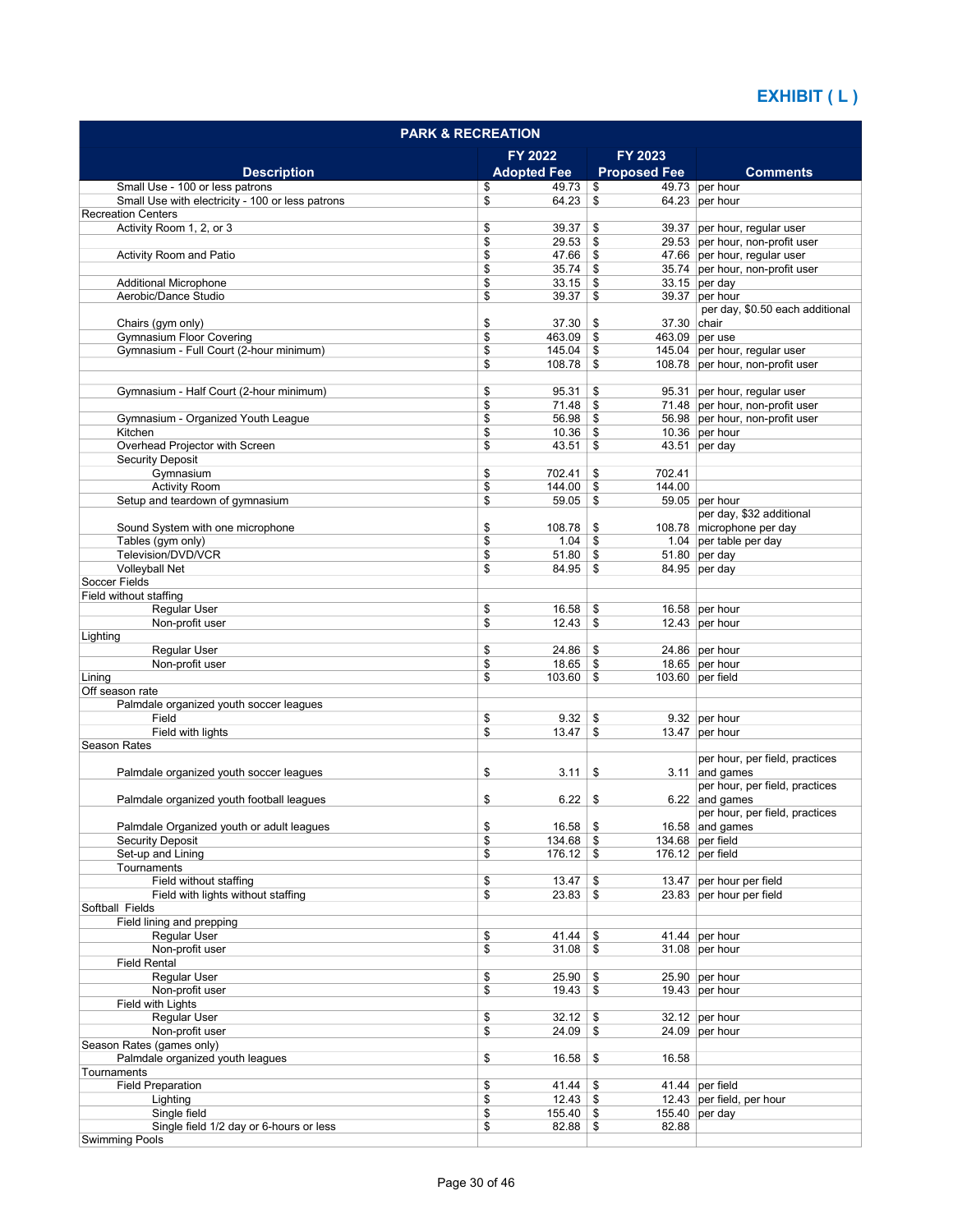| <b>PARK &amp; RECREATION</b>                          |                              |                     |                                                                   |  |  |  |
|-------------------------------------------------------|------------------------------|---------------------|-------------------------------------------------------------------|--|--|--|
|                                                       | FY 2022                      | FY 2023             |                                                                   |  |  |  |
| <b>Description</b>                                    | <b>Adopted Fee</b>           | <b>Proposed Fee</b> | <b>Comments</b>                                                   |  |  |  |
| Small Use - 100 or less patrons                       | 49.73<br>\$                  | \$                  | 49.73 per hour                                                    |  |  |  |
| Small Use with electricity - 100 or less patrons      | \$<br>64.23                  | \$                  | 64.23 per hour                                                    |  |  |  |
| <b>Recreation Centers</b><br>Activity Room 1, 2, or 3 | \$<br>39.37                  | \$                  |                                                                   |  |  |  |
|                                                       | \$<br>29.53                  | \$                  | 39.37 per hour, regular user<br>29.53 per hour, non-profit user   |  |  |  |
| Activity Room and Patio                               | \$<br>47.66                  | \$                  | 47.66 per hour, regular user                                      |  |  |  |
|                                                       | \$<br>$35.74$ \\$            |                     | 35.74 per hour, non-profit user                                   |  |  |  |
| <b>Additional Microphone</b>                          | \$<br>$33.15$ \ \$           |                     | $33.15$ per day                                                   |  |  |  |
| Aerobic/Dance Studio                                  | \$<br>39.37                  | \$                  | 39.37 per hour                                                    |  |  |  |
|                                                       |                              |                     | per day, \$0.50 each additional                                   |  |  |  |
| Chairs (gym only)                                     | \$<br>37.30                  | \$<br>37.30 chair   |                                                                   |  |  |  |
| <b>Gymnasium Floor Covering</b>                       | \$<br>463.09                 | \$                  | 463.09 per use                                                    |  |  |  |
| Gymnasium - Full Court (2-hour minimum)               | 145.04<br>\$<br>\$<br>108.78 | \$<br>\$            | 145.04 per hour, regular user<br>108.78 per hour, non-profit user |  |  |  |
|                                                       |                              |                     |                                                                   |  |  |  |
| Gymnasium - Half Court (2-hour minimum)               | \$<br>95.31                  | \$                  | 95.31 per hour, regular user                                      |  |  |  |
|                                                       | \$<br>71.48                  | \$                  | 71.48 per hour, non-profit user                                   |  |  |  |
| Gymnasium - Organized Youth League                    | \$<br>56.98                  | \$                  | 56.98 per hour, non-profit user                                   |  |  |  |
| Kitchen                                               | \$<br>10.36                  | \$                  | 10.36 per hour                                                    |  |  |  |
| Overhead Projector with Screen                        | \$<br>$43.51$ \\$            |                     | $43.51$ per day                                                   |  |  |  |
| <b>Security Deposit</b>                               |                              |                     |                                                                   |  |  |  |
| Gymnasium                                             | \$<br>702.41                 | 702.41<br>\$        |                                                                   |  |  |  |
| <b>Activity Room</b>                                  | \$<br>144.00                 | 144.00<br>\$        |                                                                   |  |  |  |
| Setup and teardown of gymnasium                       | \$<br>59.05                  | \$                  | 59.05 per hour                                                    |  |  |  |
|                                                       |                              |                     | per day, \$32 additional                                          |  |  |  |
| Sound System with one microphone                      | \$<br>108.78                 | \$                  | 108.78 microphone per day                                         |  |  |  |
| Tables (gym only)<br>Television/DVD/VCR               | \$<br>1.04                   | \$                  | 1.04 per table per day<br>$51.80$ per day                         |  |  |  |
| Volleyball Net                                        | \$<br>51.80<br>\$<br>84.95   | \$<br>\$            | 84.95 per day                                                     |  |  |  |
| Soccer Fields                                         |                              |                     |                                                                   |  |  |  |
| Field without staffing                                |                              |                     |                                                                   |  |  |  |
| Regular User                                          | \$<br>16.58                  | \$                  | 16.58 per hour                                                    |  |  |  |
| Non-profit user                                       | \$<br>12.43                  | \$                  | 12.43 per hour                                                    |  |  |  |
| Lighting                                              |                              |                     |                                                                   |  |  |  |
| Regular User                                          | \$<br>24.86                  | \$                  | 24.86 per hour                                                    |  |  |  |
| Non-profit user                                       | \$<br>18.65                  | \$                  | 18.65 per hour                                                    |  |  |  |
| Lining                                                | \$<br>103.60                 | \$                  | 103.60 per field                                                  |  |  |  |
| Off season rate                                       |                              |                     |                                                                   |  |  |  |
| Palmdale organized youth soccer leagues               |                              |                     |                                                                   |  |  |  |
| Field<br>Field with lights                            | \$<br>9.32<br>\$<br>13.47    | \$<br>\$            | 9.32 per hour<br>13.47 per hour                                   |  |  |  |
| <b>Season Rates</b>                                   |                              |                     |                                                                   |  |  |  |
|                                                       |                              |                     | per hour, per field, practices                                    |  |  |  |
| Palmdale organized youth soccer leagues               | \$<br>3.11                   | \$                  | $3.11$ and games                                                  |  |  |  |
|                                                       |                              |                     | per hour, per field, practices                                    |  |  |  |
| Palmdale organized youth football leagues             | \$<br>6.22                   | \$                  | 6.22 and games                                                    |  |  |  |
|                                                       |                              |                     | per hour, per field, practices                                    |  |  |  |
| Palmdale Organized youth or adult leagues             | \$<br>$16.58$ \$             |                     | 16.58 and games                                                   |  |  |  |
| <b>Security Deposit</b>                               | \$<br>134.68                 | \$                  | 134.68 per field                                                  |  |  |  |
| Set-up and Lining                                     | \$<br>$176.12$ \$            |                     | $176.12$ per field                                                |  |  |  |
| Tournaments                                           |                              |                     |                                                                   |  |  |  |
| Field without staffing                                | \$<br>13.47                  | \$                  | 13.47 per hour per field                                          |  |  |  |
| Field with lights without staffing<br>Softball Fields | \$<br>23.83                  | \$                  | 23.83 per hour per field                                          |  |  |  |
| Field lining and prepping                             |                              |                     |                                                                   |  |  |  |
| Regular User                                          | \$<br>41.44                  | \$                  | 41.44 per hour                                                    |  |  |  |
| Non-profit user                                       | \$<br>31.08                  | \$                  | 31.08 per hour                                                    |  |  |  |
| <b>Field Rental</b>                                   |                              |                     |                                                                   |  |  |  |
| <b>Reqular User</b>                                   | \$<br>25.90                  | \$                  | 25.90 per hour                                                    |  |  |  |
| Non-profit user                                       | \$<br>19.43                  | \$                  | 19.43 per hour                                                    |  |  |  |
| Field with Lights                                     |                              |                     |                                                                   |  |  |  |
| Regular User                                          | \$<br>32.12                  | \$                  | $32.12$ per hour                                                  |  |  |  |
| Non-profit user                                       | \$<br>24.09                  | \$                  | 24.09 per hour                                                    |  |  |  |
| Season Rates (games only)                             |                              |                     |                                                                   |  |  |  |
| Palmdale organized youth leagues                      | \$<br>16.58                  | \$<br>16.58         |                                                                   |  |  |  |
| Tournaments                                           |                              |                     |                                                                   |  |  |  |
| <b>Field Preparation</b>                              | 41.44<br>\$                  | \$                  | 41.44 per field                                                   |  |  |  |
| Lighting<br>Single field                              | \$<br>155.40                 |                     | 12.43 per field, per hour                                         |  |  |  |
| Single field 1/2 day or 6-hours or less               | \$<br>\$<br>82.88            | \$<br>82.88<br>\$   | 155.40 per day                                                    |  |  |  |
| <b>Swimming Pools</b>                                 |                              |                     |                                                                   |  |  |  |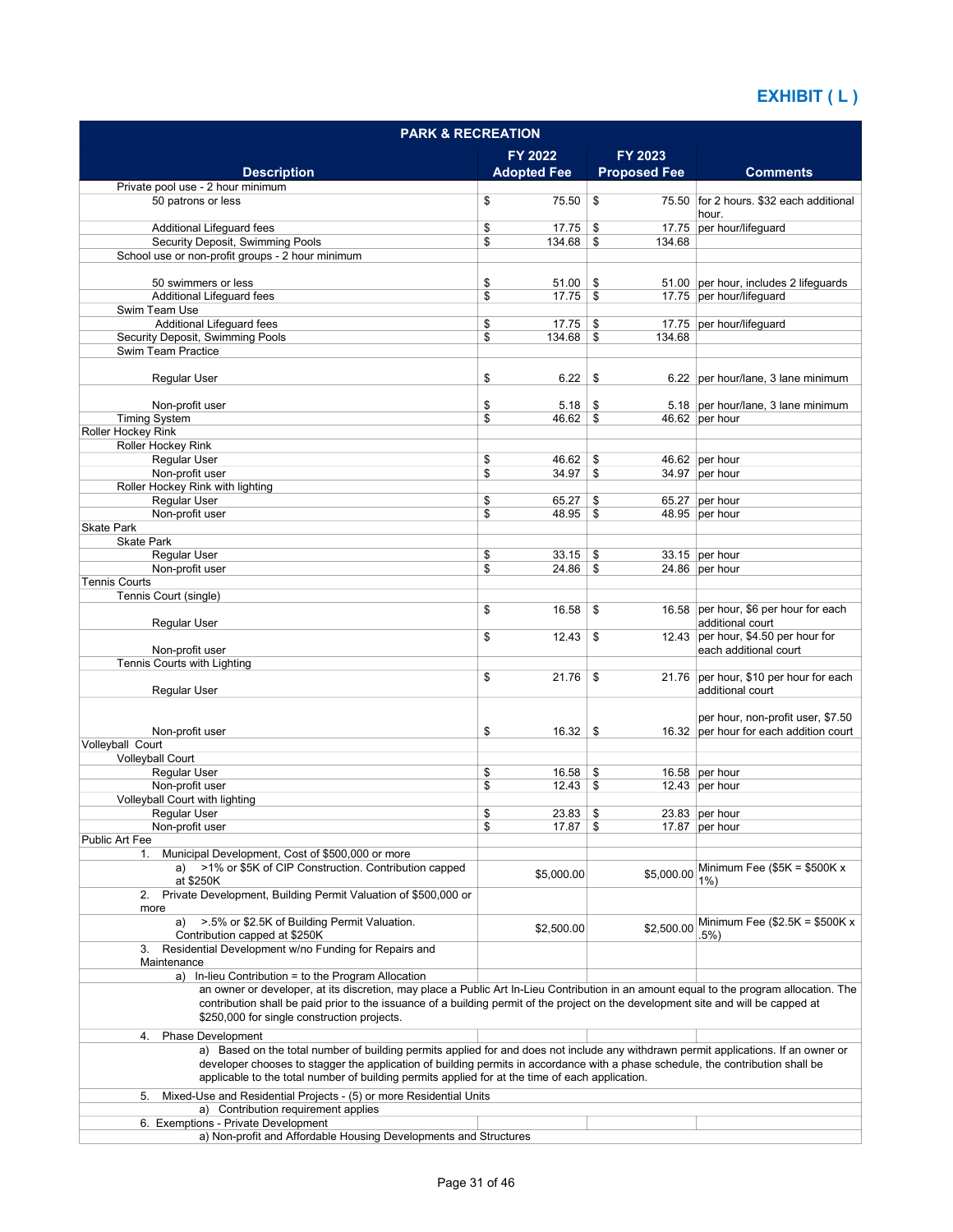| <b>PARK &amp; RECREATION</b>                                                                                                                                                                                                                                           |                            |                     |                                                                   |  |  |  |
|------------------------------------------------------------------------------------------------------------------------------------------------------------------------------------------------------------------------------------------------------------------------|----------------------------|---------------------|-------------------------------------------------------------------|--|--|--|
|                                                                                                                                                                                                                                                                        | FY 2022                    | FY 2023             |                                                                   |  |  |  |
| <b>Description</b>                                                                                                                                                                                                                                                     | <b>Adopted Fee</b>         | <b>Proposed Fee</b> | <b>Comments</b>                                                   |  |  |  |
| Private pool use - 2 hour minimum                                                                                                                                                                                                                                      |                            |                     |                                                                   |  |  |  |
| 50 patrons or less                                                                                                                                                                                                                                                     | \$<br>75.50                | \$                  | 75.50 for 2 hours. \$32 each additional<br>hour.                  |  |  |  |
| Additional Lifeguard fees                                                                                                                                                                                                                                              | \$<br>17.75                | \$                  | 17.75 per hour/lifeguard                                          |  |  |  |
| Security Deposit, Swimming Pools                                                                                                                                                                                                                                       | \$<br>134.68               | \$<br>134.68        |                                                                   |  |  |  |
| School use or non-profit groups - 2 hour minimum                                                                                                                                                                                                                       |                            |                     |                                                                   |  |  |  |
|                                                                                                                                                                                                                                                                        |                            |                     |                                                                   |  |  |  |
| 50 swimmers or less<br>Additional Lifeguard fees                                                                                                                                                                                                                       | \$<br>51.00<br>\$<br>17.75 | \$<br>\$            | 51.00 per hour, includes 2 lifeguards<br>17.75 per hour/lifeguard |  |  |  |
| Swim Team Use                                                                                                                                                                                                                                                          |                            |                     |                                                                   |  |  |  |
| Additional Lifeguard fees                                                                                                                                                                                                                                              | \$<br>17.75                | \$                  | 17.75 per hour/lifequard                                          |  |  |  |
| Security Deposit, Swimming Pools                                                                                                                                                                                                                                       | \$<br>134.68               | \$<br>134.68        |                                                                   |  |  |  |
| Swim Team Practice                                                                                                                                                                                                                                                     |                            |                     |                                                                   |  |  |  |
| Regular User                                                                                                                                                                                                                                                           | \$<br>6.22                 | \$                  | 6.22 per hour/lane, 3 lane minimum                                |  |  |  |
|                                                                                                                                                                                                                                                                        |                            |                     |                                                                   |  |  |  |
| Non-profit user                                                                                                                                                                                                                                                        | \$<br>5.18                 | \$                  | 5.18 per hour/lane, 3 lane minimum                                |  |  |  |
| <b>Timing System</b>                                                                                                                                                                                                                                                   | \$<br>46.62                | \$                  | 46.62 per hour                                                    |  |  |  |
| Roller Hockey Rink<br>Roller Hockey Rink                                                                                                                                                                                                                               |                            |                     |                                                                   |  |  |  |
| <b>Reqular User</b>                                                                                                                                                                                                                                                    | \$<br>46.62                | \$                  | 46.62 per hour                                                    |  |  |  |
| Non-profit user                                                                                                                                                                                                                                                        | \$<br>34.97                | \$                  | 34.97 per hour                                                    |  |  |  |
| Roller Hockey Rink with lighting                                                                                                                                                                                                                                       |                            |                     |                                                                   |  |  |  |
| Regular User                                                                                                                                                                                                                                                           | \$<br>65.27                | \$                  | 65.27 per hour                                                    |  |  |  |
| Non-profit user                                                                                                                                                                                                                                                        | \$<br>48.95                | \$                  | 48.95 per hour                                                    |  |  |  |
| <b>Skate Park</b><br><b>Skate Park</b>                                                                                                                                                                                                                                 |                            |                     |                                                                   |  |  |  |
| Regular User                                                                                                                                                                                                                                                           | \$<br>33.15                | \$                  | 33.15 per hour                                                    |  |  |  |
| Non-profit user                                                                                                                                                                                                                                                        | \$<br>24.86                | \$                  | 24.86 per hour                                                    |  |  |  |
| <b>Tennis Courts</b>                                                                                                                                                                                                                                                   |                            |                     |                                                                   |  |  |  |
| Tennis Court (single)                                                                                                                                                                                                                                                  |                            |                     |                                                                   |  |  |  |
|                                                                                                                                                                                                                                                                        | \$<br>16.58                | \$                  | 16.58 per hour, \$6 per hour for each<br>additional court         |  |  |  |
| Regular User                                                                                                                                                                                                                                                           | \$<br>12.43                | \$                  | 12.43 per hour, \$4.50 per hour for                               |  |  |  |
| Non-profit user                                                                                                                                                                                                                                                        |                            |                     | each additional court                                             |  |  |  |
| Tennis Courts with Lighting                                                                                                                                                                                                                                            |                            |                     |                                                                   |  |  |  |
|                                                                                                                                                                                                                                                                        | \$<br>21.76                | \$                  | 21.76 per hour, \$10 per hour for each                            |  |  |  |
| Regular User                                                                                                                                                                                                                                                           |                            |                     | additional court                                                  |  |  |  |
|                                                                                                                                                                                                                                                                        |                            |                     | per hour, non-profit user, \$7.50                                 |  |  |  |
| Non-profit user                                                                                                                                                                                                                                                        | \$<br>16.32                | \$                  | 16.32 per hour for each addition court                            |  |  |  |
| Volleyball Court                                                                                                                                                                                                                                                       |                            |                     |                                                                   |  |  |  |
| <b>Volleyball Court</b>                                                                                                                                                                                                                                                |                            |                     |                                                                   |  |  |  |
| <b>Reqular User</b><br>Non-profit user                                                                                                                                                                                                                                 | \$<br>16.58<br>\$<br>12.43 | \$<br>\$            | 16.58 per hour<br>12.43 per hour                                  |  |  |  |
| Volleyball Court with lighting                                                                                                                                                                                                                                         |                            |                     |                                                                   |  |  |  |
| Regular User                                                                                                                                                                                                                                                           | \$<br>23.83                | \$                  | 23.83 per hour                                                    |  |  |  |
| Non-profit user                                                                                                                                                                                                                                                        | \$<br>17.87                | \$                  | 17.87 per hour                                                    |  |  |  |
| <b>Public Art Fee</b>                                                                                                                                                                                                                                                  |                            |                     |                                                                   |  |  |  |
| Municipal Development, Cost of \$500,000 or more<br>1.                                                                                                                                                                                                                 |                            |                     | Minimum Fee $($5K = $500K x$                                      |  |  |  |
| >1% or \$5K of CIP Construction. Contribution capped<br>a)<br>at \$250K                                                                                                                                                                                                | \$5,000.00                 | \$5,000.00          | $1\%$                                                             |  |  |  |
| 2. Private Development, Building Permit Valuation of \$500,000 or                                                                                                                                                                                                      |                            |                     |                                                                   |  |  |  |
| more                                                                                                                                                                                                                                                                   |                            |                     |                                                                   |  |  |  |
| >.5% or \$2.5K of Building Permit Valuation.<br>a)                                                                                                                                                                                                                     | \$2,500.00                 | \$2,500.00          | Minimum Fee $$2.5K = $500K x$                                     |  |  |  |
| Contribution capped at \$250K                                                                                                                                                                                                                                          |                            |                     | .5%)                                                              |  |  |  |
| 3. Residential Development w/no Funding for Repairs and<br>Maintenance                                                                                                                                                                                                 |                            |                     |                                                                   |  |  |  |
| a) In-lieu Contribution = to the Program Allocation                                                                                                                                                                                                                    |                            |                     |                                                                   |  |  |  |
| an owner or developer, at its discretion, may place a Public Art In-Lieu Contribution in an amount equal to the program allocation. The                                                                                                                                |                            |                     |                                                                   |  |  |  |
| contribution shall be paid prior to the issuance of a building permit of the project on the development site and will be capped at<br>\$250,000 for single construction projects.                                                                                      |                            |                     |                                                                   |  |  |  |
|                                                                                                                                                                                                                                                                        |                            |                     |                                                                   |  |  |  |
| <b>Phase Development</b><br>4.                                                                                                                                                                                                                                         |                            |                     |                                                                   |  |  |  |
| a) Based on the total number of building permits applied for and does not include any withdrawn permit applications. If an owner or<br>developer chooses to stagger the application of building permits in accordance with a phase schedule, the contribution shall be |                            |                     |                                                                   |  |  |  |
| applicable to the total number of building permits applied for at the time of each application.                                                                                                                                                                        |                            |                     |                                                                   |  |  |  |
| Mixed-Use and Residential Projects - (5) or more Residential Units                                                                                                                                                                                                     |                            |                     |                                                                   |  |  |  |
| 5.<br>a) Contribution requirement applies                                                                                                                                                                                                                              |                            |                     |                                                                   |  |  |  |
| 6. Exemptions - Private Development                                                                                                                                                                                                                                    |                            |                     |                                                                   |  |  |  |
| a) Non-profit and Affordable Housing Developments and Structures                                                                                                                                                                                                       |                            |                     |                                                                   |  |  |  |